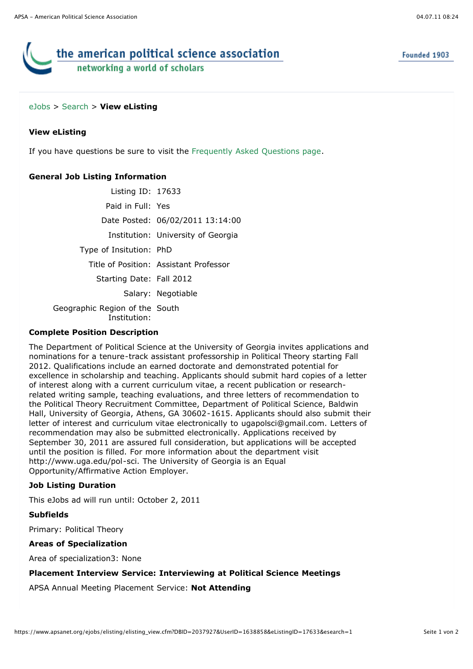# the american political science association networking a world of scholars

#### [eJobs](https://www.apsanet.org/eJobs/startpage.cfm) > [Search](javascript:history.go(-1);) > **View eListing**

#### **View eListing**

If you have questions be sure to visit the [Frequently Asked Questions page](javascript:void(0)).

### **General Job Listing Information**

Listing ID: 17633 Paid in Full: Yes Date Posted: 06/02/2011 13:14:00 Institution: University of Georgia Type of Insitution: PhD Title of Position: Assistant Professor Starting Date: Fall 2012 Salary: Negotiable Geographic Region of the South Institution:

#### **Complete Position Description**

The Department of Political Science at the University of Georgia invites applications and nominations for a tenure-track assistant professorship in Political Theory starting Fall 2012. Qualifications include an earned doctorate and demonstrated potential for excellence in scholarship and teaching. Applicants should submit hard copies of a letter of interest along with a current curriculum vitae, a recent publication or researchrelated writing sample, teaching evaluations, and three letters of recommendation to the Political Theory Recruitment Committee, Department of Political Science, Baldwin Hall, University of Georgia, Athens, GA 30602-1615. Applicants should also submit their letter of interest and curriculum vitae electronically to ugapolsci@gmail.com. Letters of recommendation may also be submitted electronically. Applications received by September 30, 2011 are assured full consideration, but applications will be accepted until the position is filled. For more information about the department visit http://www.uga.edu/pol-sci. The University of Georgia is an Equal Opportunity/Affirmative Action Employer.

#### **Job Listing Duration**

This eJobs ad will run until: October 2, 2011

**Subfields**

Primary: Political Theory

#### **Areas of Specialization**

Area of specialization3: None

#### **Placement Interview Service: Interviewing at Political Science Meetings**

APSA Annual Meeting Placement Service: **Not Attending**

Founded 1903